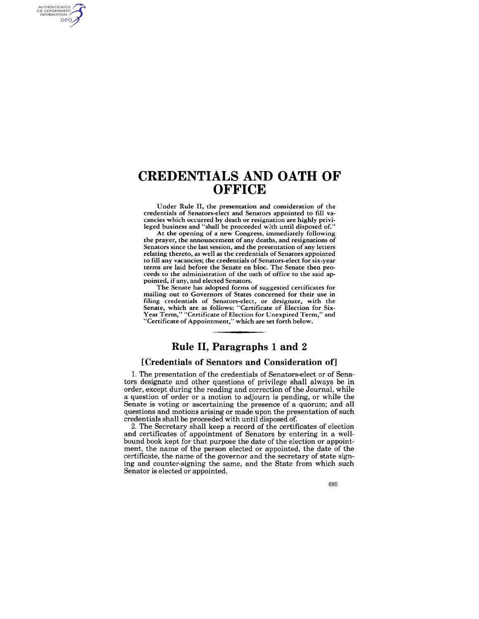## **CREDENTIALS AND OATH OF OFFICE**

AUTHENTICATED<br>U.S. GOVERNMENT<br>INFORMATION GPO

> Under Rule II, the presentation and consideration of the credentials of Senators-elect and Senators appointed to fill vacancies which occurred by death or resignation are highly privileged business and "shall be proceeded with until disposed of."

> At the opening of a new Congress, immediately following the prayer, the announcement of any deaths, and resignations of Senators since the last session, and the presentation of any letters relating thereto, as well as the credentials of Senators appointed to fill any vacancies; the credentials of Senators-elect for six-year terms are laid before the Senate en bloc. The Senate then proceeds to the administration of the oath of office to the said appointed, if any, and elected Senators.

> The Senate has adopted forms of suggested certificates for mailing out to Governors of States concerned for their use in filing credentials of Senators-elect, or designate, with the Senate, which are as foliows: "Certificate of Election for Six-Year Term," "Certificate of Election for Unexpired Term," and "Certificate of Appointment," which are set forth below.

## **Rule II, Paragraphs 1 and 2**

#### **[Credentials of Senators and Consideration of]**

1. The presentation of the credentials of Senators-elect or of Senators designate and other questions of privilege shall always be in order, except during the reading and correction of the Journal, while a question of order or a motion to adjourn is pending, or while the Senate is voting or ascertaining the presence of a quorum; and all questions and motions arising or made upon the presentation of such credentials shall be proceeded with until disposed of.

2. The Secretary shall keep a record of the certificates of election and certificates of appointment of Senators by entering in a wellbound book kept for that purpose the date of the election or appointment, the name of the person elected or appointed, the date of the certificate, the name of the governor and the secretary of state signing and counter-signing the same, and the State from which such Senator is elected or appointed.

695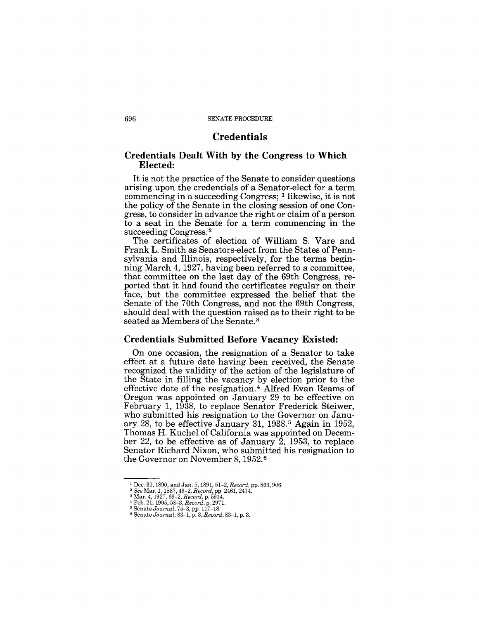## **Credentials**

## **Credentials Dealt With by the Congress to Which Elected:**

It is not the practice of the Senate to consider questions arising upon the credentials of a Senator-elect for a term commencing in a succeeding Congress; 1 likewise, it is not the policy of the Senate in the closing session of one Congress, to consider in advance the right or claim of a person to a seat in the Senate for a term commencing in the succeeding Congress.<sup>2</sup>

The certificates of election of William S. Yare and Frank L. Smith as Senators-elect from the States of Pennsylvania and Illinois, respectively, for the terms beginning March 4,1927, having been referred to a committee, that committee on the last day of the 69th Congress, reported that it had found the certificates regular on their face, but the committee expressed the belief that the Senate of the 70th Congress, and not the 69th Congress, should deal with the question raised as to their right to be seated as Members of the Senate. 3

#### **Credentials Submitted Before Vacancy Existed:**

On one occasion, the resignation of a Senator to take effect at a future date having been received, the Senate recognized the validity of the action of the legislature of the State in filling the vacancy by election prior to the effective date of the resignation. 4 Alfred Evan Reams of Oregon was appointed on January 29 to be effective on February 1, 1938, to replace Senator Frederick Steiwer, who submitted his resignation to the Governor on January 28, to be effective January 31, 1938. 5 Again in 1952, Thomas H. Kuchel of California was appointed on December 22, to be effective as of January  $\overline{2}$ , 1953, to replace Senator Richard Nixon, who submitted his resignation to the Governor on November 8, 1952. <sup>6</sup>

<sup>1</sup> Dec. 30, 1890, and Jan. 5, 1891, 51-2, *Record,* pp. 863, 906.

<sup>2</sup>*See* Mar. 1, 1887,49-2, *Record,* pp. 2461, 2474. 3 Mar. 4, 1927, 69-2, *Record,* p. 5914. <sup>4</sup>Feb. 21, 1905, 58-3, *Record,* p. 297l. 5 Senate *Journal,* 75-3, pp. 117-18.

<sup>6</sup> Senate *Journal,* 83-1, p. 3, *Record,* 83-1, p. 3.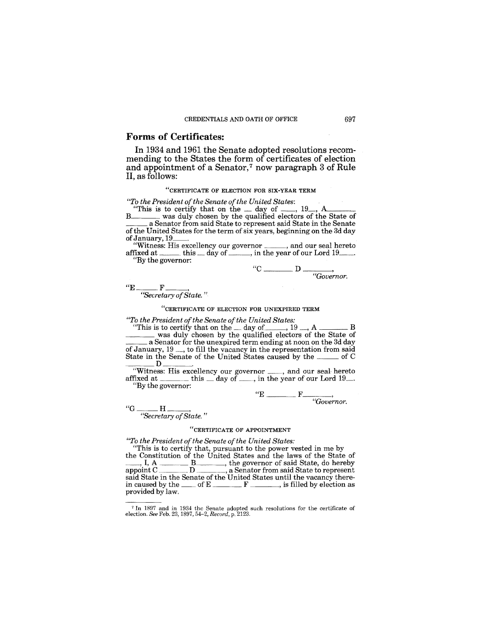#### Forms of Certificates:

In 1934 and 1961 the Senate adopted resolutions recommending to the States the form of certificates of election and appointment of a Senator,<sup>7</sup> now paragraph  $3$  of Rule II, as follows:

#### "CERTIFICATE OF ELECTION FOR SIX-YEAR TERM

*"To the President of the Senate of the United States:* 

To the President of the Senate of the United States:<br>"This is to certify that on the  $\_\$ day of  $\_\_$ , 19<sub>-1</sub>, A B was duly chosen by the qualified electors of the State of \_\_\_ a Senator from said State to represent said State in the Senate a Senator from said State to represent said State in the Senate of the United States for the term of six years, beginning on the 3d day of January, 19

"Witness: His excellency our governor \_\_\_\_, and our seal hereto affixed at  $\rule{1em}{0.15mm}$  this  $\rule{1em}{0.15mm}$  day of  $\rule{1em}{0.15mm}$  in the year of our Lord 19. "By the governor:

$$
"C \overline{\hspace{1cm}} D \overline{\hspace{1cm}} \overline{\hspace{1cm}} Gover
$$

 $H^{\mu}E$  F \_\_\_\_\_\_\_,

*"Secretary of State. "* 

"CERTIFICATE OF ELECTION FOR UNEXPIRED TERM

*"To the President of the Senate of the United States:* 

"This is to certify that on the day of  $\frac{19}{19}$ , A  $\frac{19}{19}$  was duly chosen by the qualified electors of the State of  $\frac{19}{19}$  a Senator for the unexpired term ending at noon on the 3d day of January,  $19 \dots$ , to fill the vacancy in the representation from said State in the Senate of the United States caused by the of C State in the Senate of the United States caused by the  $\frac{1}{2}$ 

Witness: His excellency our governor \_\_\_, and our seal hereto Witness: His excellency our governor  $\_\_\_$ , and our seal hereto affixed at  $\_\_\_\_$  this  $\_\_\_\_\_\_$  day of  $\_\_\_$ , in the year of our Lord 19 $\_\_$ . "By the governor:

 $E$   $\frac{F}{\sqrt{Gover}}$  ${}^{\circ}G$   ${}^{\bullet}H$   ${}^{\bullet}$   ${}^{\bullet}H$   ${}^{\bullet}$   ${}^{\bullet}$   ${}^{\bullet}$   ${}^{\bullet}$   ${}^{\bullet}$   ${}^{\bullet}$   ${}^{\bullet}$   ${}^{\bullet}$   ${}^{\bullet}$   ${}^{\bullet}$   ${}^{\bullet}$   ${}^{\bullet}$   ${}^{\bullet}$   ${}^{\bullet}$   ${}^{\bullet}$   ${}^{\bullet}$   ${}^{\bullet}$   ${}^{\bullet}$   ${}^{\bullet}$   ${}^{\bullet}$   ${}^{\bullet}$   ${}^{\bullet}$   ${}^{\bullet}$   ${}$ 

*"Secretary of State. "* 

#### "CERTIFICATE OF APPOINTMENT

*"To the President of the Senate of the United States:* 

"This is to certify that, pursuant to the power vested in me by the Constitution of the United States and the laws of the State of  $\underline{\hspace{1cm}}, I, A \underbrace{\hspace{1cm}} B \underbrace{\hspace{1cm}}$ , the governor of said State, do hereby "To the President of the Senate of the United States:<br>"This is to certify that, pursuant to the power vested in me by<br>the Constitution of the United States and the laws of the State of<br>........, I, A \_\_\_\_\_\_\_\_\_\_\_\_\_\_\_\_\_\_\_\_\_ said State in the Senate of the United States until the vacancy there-in caused by the \_\_ of E F , is filled by election as provided by law.

<sup>7</sup> In 1897 and in 1934 the Senate adopted such resolutions for the certificate of election. &e Feb. 23, 1897,54-2, *Record,* p. 2123.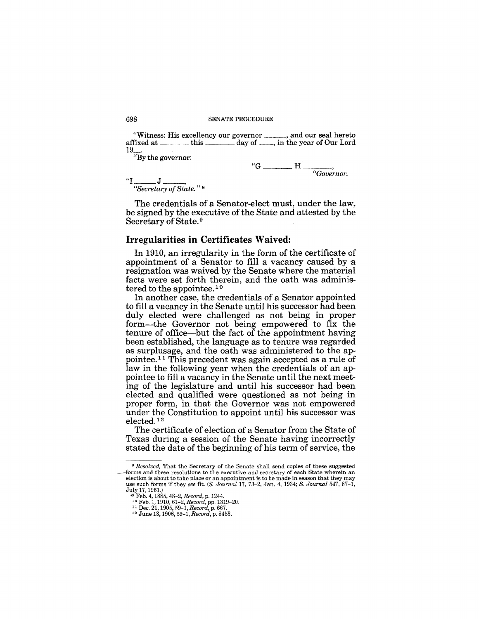"Witness: His excellency our governor \_\_\_\_\_\_, and our seal hereto affixed at \_\_\_\_\_\_\_\_ this \_\_\_\_\_\_ day of \_\_\_\_, in the year of Our Lord  $19$ <sub>...</sub>...

"By the governor:

$$
{}^{6}G \longrightarrow H \longrightarrow
$$
  
\n"G  ${}^{6}G$ 

*"Secretary of State.* " 8

The credentials of a Senator-elect must, under the law, be signed by the executive of the State and attested by the Secretary of State. 9

#### **Irregularities in Certificates Waived:**

In 1910, an irregularity in the form of the certificate of appointment of a Senator to fill a vacancy caused by a resignation was waived by the Senate where the material facts were set forth therein, and the oath was administered to the appointee.<sup>10</sup>

In another case, the credentials of a Senator appointed to fill a vacancy in the Senate until his successor had been duly elected were challenged as not being in proper form-the Governor not being empowered to fix the tenure of office-but the fact of the appointment having been established, the language as to tenure was regarded as surplusage, and the oath was administered to the appointee. 11 This precedent was again accepted as a rule of law in the following year when the credentials of an appointee to fill a vacancy in the Senate until the next meeting of the legislature and until his successor had been elected and qualified were questioned as not being in proper form, in that the Governor was not empowered under the Constitution to appoint until his successor was elected. 12

The certificate of election of a Senator from the State of Texas during a session of the Senate having incorrectly stated the date of the beginning of his term of service, the

*<sup>8</sup> Resolved,* That the Secretary of the Senate shall send copies of these suggested forms and these resolutions to the executive and secretary of each State wherein an election is about to take place or an appointment is to be made in season that they may use such forms if they see fit.  $(S. Journal 17, 73-2, Jan.$ 

July 17, 1961.) ..., Feb. 4, 1885,48-2, *Record,* p. 1244. 10 Feb. 1, 1910,61-2, *Record,* pp.1319-20. 11 Dec. 21, 1905, 59-1, *Record,* p. 667. 12 June 13, 1906, 59-1, *Record,* p. 8453.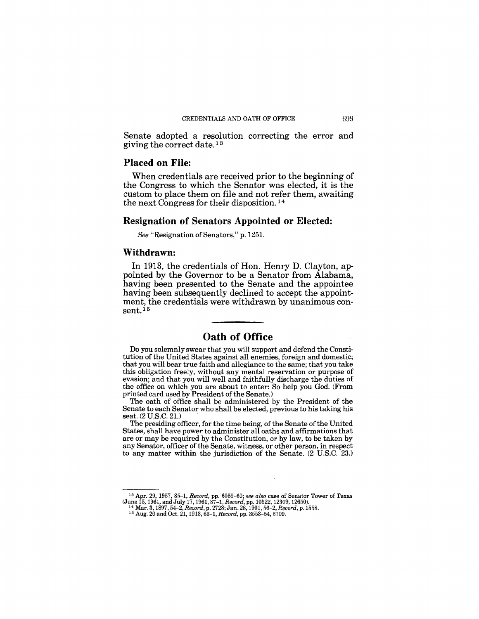Senate adopted a resolution correcting the error and giving the correct date. 13

## **Placed on File:**

When credentials are received prior to the beginning of the Congress to which the Senator was elected, it is the custom to place them on file and not refer them, awaiting the next Congress for their disposition. 14

#### **Resignation of Senators Appointed or Elected:**

*See* "Resignation of Senators," p.1251.

#### **Withdrawn:**

**In** 1913, the credentials of Hon. Henry D. Clayton, appointed by the Governor to be a Senator from Alabama, having been presented to the Senate and the appointee having been subsequently declined to accept the appointment, the credentials were withdrawn by unanimous con $sent<sup>15</sup>$ 

## **Oath of Office**

Do you solemnly swear that you will support and defend the Constitution of the United States against all enemies, foreign and domestic; that you will bear true faith and allegiance to the same; that you take this obligation freely, without any mental reservation or purpose of evasion; and that you will well and faithfully discharge the duties of the office on which you are about to enter: So help you God. (From printed card used by President of the Senate.)

The oath of office shall be administered by the President of the Senate to each Senator who shall be elected, previous to his taking his seat. (2 U.S.C. 21.)

The presiding officer, for the time being, of the Senate of the United States, shall have power to administer all oaths and affirmations that are or may be required by the Constitution, or by law, to be taken by any Senator, officer of the Senate, witness, or other person, in respect to any matter within the jurisdiction of the Senate. (2 U.S.C. 23.)

<sup>&</sup>lt;sup>13</sup> Apr. 29, 1957, 85–1, *Record*, pp. 6059–60; *see also* case of Senator Tower of Texas (June 15, 1961, and July 17, 1961, 87–1, *Record*, pp. 10522, 12309, 12650).<br><sup>14</sup> Mar. 3, 1897, 54–2, *Record*, p. 2728; Jan. 28,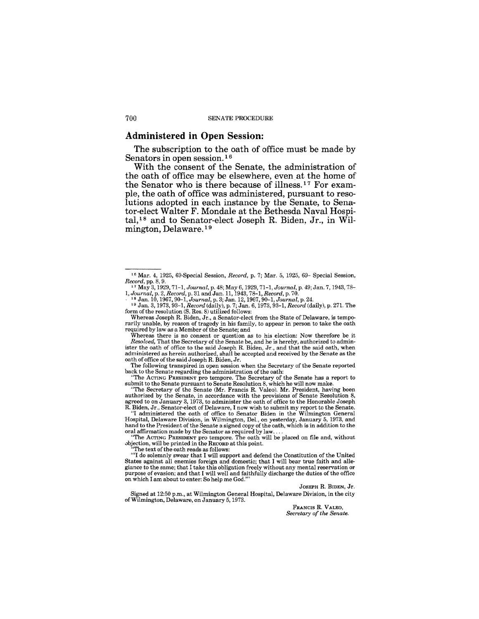#### Administered **in Open** Session:

The subscription to the oath of office must be made by Senators in open session.<sup>16</sup>

With the consent of the Senate, the administration of the oath of office may be elsewhere, even at the home of the Senator who is there because of illness.<sup>17</sup> For example, the oath of office was administered, pursuant to resolutions adopted in each instance by the Senate, to Senator-elect Walter F. Mondale at the Bethesda Naval Hospital,18 and to Senator-elect Joseph R. Biden, Jr., in Wilmington, Delaware. 19

<sup>16</sup> Mar. 4, 1925, 69-Special Session, *Record,* p. 7; Mar. 5, 1925, 69- Special Session, *Record,* pp. 8, 9. 11 May 3,1929,71-1, *Journal,* p. 48; May 6, 1929, 71-1, *Journal,* p. 49; Jan. 7,1943,78-

<sup>1,</sup> Journal, p. 2, Record, p. 31 and Jan. 11, 1943, 78–1, Record, p. 70.<br>- <sup>18</sup> Jan. 10, 1967, 90–1, Journal, p. 3; Jan. 12, 1967, 90–1, Journal, p. 24.<br><sup>- 19</sup> Jan. 3, 1973, 93–1, Record (daily), p. 7; Jan. 6, 1973, 93–1, R

form of the resolution (S. Res. 8) utilized follows:

Whereas Joseph R. Biden, Jr., a Senator-elect from the State of Delaware, is temporarily unable, by reason of tragedy in his family, to appear in person to take the oath required by law as a Member of the Senate; and

Whereas there is no consent or question as to his election: Now therefore be it *Resolved,* That the Secretary of the Senate be, and he is hereby, authorized to administer the oath of office to the said Joseph R. Biden, Jr., and that the said oath, when administered as herein authorized, shall be accepted and received by the Senate as the oath of office of the said Joseph R. Biden, Jr.

The following transpired in open session when the Secretary of the Senate reported back to the Senate regarding the administration of the oath:

<sup>&</sup>quot;The ACTING PRESIDENT pro tempore. The Secretary of the Senate has a report to submit to the Senate pursuant to Senate Resolution 8, which he will now make.

<sup>&</sup>quot;The Secretary of the Senate (Mr. Francis R. Valeo). Mr. President, having been authorized by the Senate, in accordance with the provisions of Senate Resolution 8, agreed to on January 3, 1973, to administer the oath of office to the Honorable Joseph

R. Biden, Jr., Senator-elect of Delaware, I now wish to submit my report to the Senate.<br>"I administered the oath of office to Senator Biden in the Wilmington General<br>Hospital, Delaware Division, in Wilmington, Del., on yes hand to the President of the Senate a signed copy of the oath, which is in addition to the oral affirmation made by the Senator as required by law....<br>"The ACTING PRESIDENT pro tempore. The oath will be placed on file and,

<sup>&</sup>quot;The ACTING PRESIDENT pro tempore. The oath will be placed on file and, without objection, will be printed in the RECORD at this point.

The text of the oath reads as follows:

<sup>&#</sup>x27;''I do solemnly swear that I will support and defend the Constitution of the United States against all enemies foreign and domestic; that I will bear true faith and allegiance to the same; that I take this obligation freely without any mental reservation or purpose of evasion; and that I will well and faithfully discharge the duties of the office on which I am about to enter: So help me G

JOSEPH R. BIDEN, Jr.

Signed at 12:50 p.m., at Wilmington General Hospital, Delaware Division, in the city of Wilmington, Delaware, on January 5,1973.

FRANCIS R. VALEO, *Secretary of the Senate.*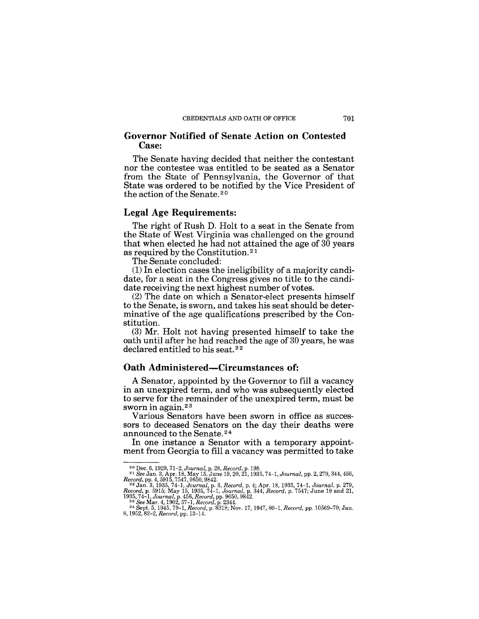## **Governor Notified of Senate Action on Contested Case:**

The Senate having decided that neither the contestant nor the contestee was entitled to be seated as a Senator from the State of Pennsylvania, the Governor of that State was ordered to be notified by the Vice President of the action of the Senate.<sup>20</sup>

## **Legal** Age **Requirements:**

The right of Rush D. Holt to a seat in the Senate from the State of West Virginia was challenged on the ground that when elected he had not attained the age of 30 years as required by the Constitution. <sup>21</sup>

The Senate concluded:

(1) In election cases the ineligibility of a majority candidate, for a seat in the Congress gives no title to the candidate receiving the next highest number of votes.

(2) The date on which a Senator-elect presents himself to the Senate, is sworn, and takes his seat should be determinative of the age qualifications prescribed by the Constitution.

(3) Mr. Holt not having presented himself to take the oath until after he had reached the age of 30 years, he was declared entitled to his seat.<sup>22</sup>

## **Oath Administered-Circumstances of:**

A Senator, appointed by the Governor to fill a vacancy in an unexpired term, and who was subsequently elected to serve for the remainder of the unexpired term, must be sworn in again.<sup>23</sup>

Various Senators have been sworn in office as successors to deceased Senators on the day their deaths were announced to the Senate. 24

In one instance a Senator with a temporary appointment from Georgia to fill a vacancy was permitted to take

<sup>&</sup>lt;sup>20</sup> Dec. 6, 1929, 71–2, Journal, p. 28, Record, p. 198.<br>
<sup>21</sup> See Jan. 3, Apr. 18, May 15, June 19, 20, 21, 1935, 74–1, Journal, pp. 2, 279, 344, 456, Record, p. 4; Apr. 18, 1935, 74–1, Journal, p. 279, 279, 279, 344, 45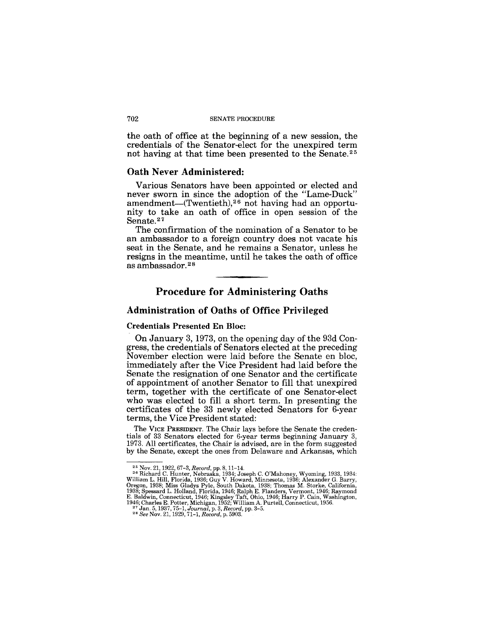the oath of office at the beginning of a new session, the credentials of the Senator-elect for the unexpired term not having at that time been presented to the Senate. <sup>25</sup>

## Oath Never Administered:

Various Senators have been appointed or elected and never sworn in since the adoption of the "Lame-Duck" amendment-(Twentieth),<sup>26</sup> not having had an opportunity to take an oath of office in open session of the Senate.<sup>27</sup>

The confirmation of the nomination of a Senator to be an ambassador to a foreign country does not vacate his seat in the Senate, and he remains a Senator, unless he resigns in the meantime, until he takes the oath of office as ambassador. 28

## Procedure for Administering Oaths

## Administration of Oaths of Office Privileged

#### Credentials Presented En Bloc:

On January 3, 1973, on the opening day of the 93d Congress, the credentials of Senators elected at the preceding November election were laid before the Senate en bloc, immediately after the Vice President had laid before the Senate the resignation of one Senator and the certificate of appointment of another Senator to fill that unexpired term, together with the certificate of one Senator-elect who was elected to fill a short term. In presenting the certificates of the 33 newly elected Senators for 6-year terms, the Vice President stated:

The VICE PRESIDENT. The Chair lays before the Senate the credentials of 33 Senators elected for 6-year terms beginning January 3, 1973. All certificates, the Chair is advised, are in the form suggested by the Senate, except the ones from Delaware and Arkansas, which

<sup>&</sup>lt;sup>25</sup> Nov. 21, 1922, 67-3, *Record*, pp. 8, 11-14.<br><sup>25</sup> Nov. 21, 1922, 67-3, *Record*, pp. 8, 11-14.<br><sup>25</sup> Richard C. Hunter, Nebraska, 1934; Joseph C. O'Mahoney, Wyoming, 1933, 1934:<br>William L. Hill, Florida, 1936; Guy V.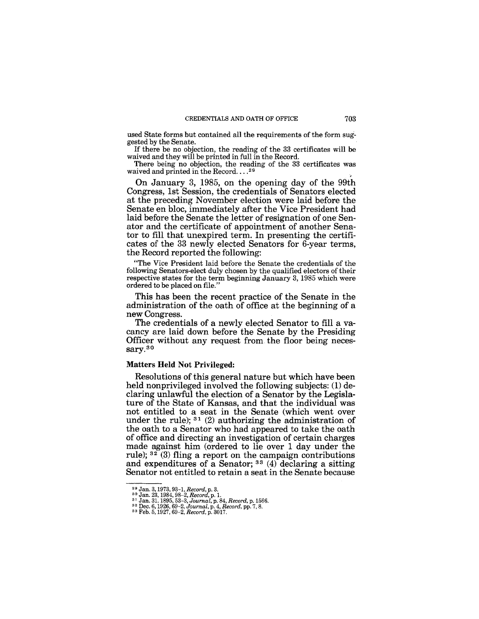used State forms but contained all the requirements of the form suggested by the Senate. CREDENTIALS AND OATH OF OFFICE 703<br>used State forms but contained all the requirements of the form sug-<br>gested by the Senate.<br>If there be no objection, the reading of the 33 certificates will be<br>waived and they will be pr

If there be no objection, the reading of the 33 certificates will be waived and they will be printed in full in the Record.

There being no objection, the reading of the 33 certificates was waived and printed in the Record....<sup>29</sup>

On January 3, 1985, on the opening day of the 99th Congress, 1st Session, the credentials of Senators elected at the preceding November election were laid before the Senate en bloc, immediately after the Vice President had laid before the Senate the letter of resignation of one Senator and the certificate of appointment of another Senator to fill that unexpired term. In presenting the certificates of the 33 newly elected Senators for 6-year terms, the Record reported the following:

"The Vice President laid before the Senate the credentials of the following Senators-elect duly chosen by the qualified electors of their respective states for the term beginning January 3, 1985 which were ordered to be placed on file."

This has been the recent practice of the Senate in the administration of the oath of office at the beginning of a new Congress.

The credentials of a newly elected Senator to fill a vacancy are laid down before the Senate by the Presiding Officer without any request from the floor being necessary.30

#### Matters Held Not Privileged:

Resolutions of this general nature but which have been held nonprivileged involved the following subjects: (1) declaring unlawful the election of a Senator by the Legislature of the State of Kansas, and that the individual was not entitled to a seat in the Senate (which went over under the rule);  $31$  (2) authorizing the administration of the oath to a Senator who had appeared to take the oath of office and directing an investigation of certain charges made against him (ordered to lie over 1 day under the rule);  $3^{2}$  (3) fling a report on the campaign contributions and expenditures of a Senator; 33 (4) declaring a sitting Senator not entitled to retain a seat in the Senate because

<sup>&</sup>lt;sup>29</sup> Jan. 3, 1973, 93-1, *Record*, p. 3.<br><sup>30</sup> Jan. 23, 1984, 98-2, *Record*, p. 1.<br><sup>31</sup> Jan. 31, 1895, 53-3, *Journal*, p. 84, *Record*, p. 1566.<br><sup>32</sup> Dec. 6, 1926, 69-2, *Journal*, p. 4, *Record*, pp. 7, 8.<br><sup>33</sup> Feb. 5, 1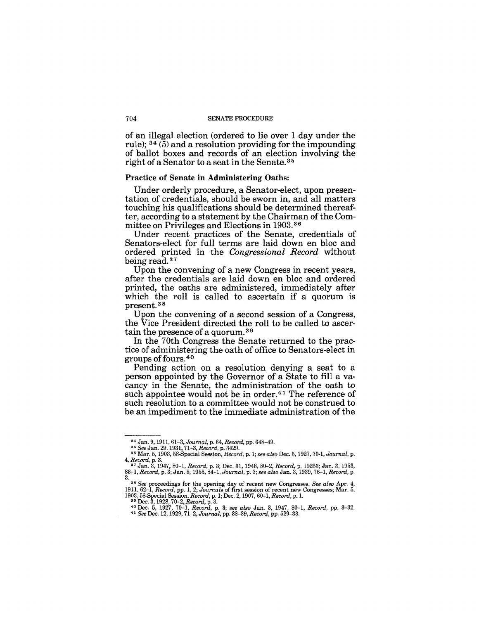of an illegal election (ordered to lie over 1 day under the rule); 34 (5) and a resolution providing for the impounding of ballot boxes and records of an election involving the right of a Senator to a seat in the Senate. 3 5

#### Practice of Senate in Administering Oaths:

Under orderly procedure, a Senator-elect, upon presentation of credentials, should be sworn in, and all matters touching his qualifications should be determined thereafter, according to a statement by the Chairman of the Committee on Privileges and Elections in 1903. <sup>36</sup>

Under recent practices of the Senate, credentials of Senators-elect for full terms are laid down en bloc and ordered printed in the *Congressional Record* without being read.<sup>37</sup>

Upon the convening of a new Congress in recent years, after the credentials are laid down en bloc and ordered printed, the oaths are administered, immediately after which the roll is called to ascertain if a quorum is present. 38

Upon the convening of a second session of a Congress, the Vice President directed the roll to be called to ascertain the presence of a quorum. 39

In the 70th Congress the Senate returned to the practice of administering the oath of office to Senators-elect in groups of fours. 4 0

Pending action on a resolution denying a seat to a person appointed by the Governor of a State to fill a vacancy in the Senate, the administration of the oath to such appointee would not be in order.<sup>41</sup> The reference of such resolution to a committee would not be construed to be an impediment to the immediate administration of the

<sup>&</sup>lt;sup>34</sup> Jan. 9, 1911, 61–3, *Journal*, p. 64, *Record*, pp. 648–49.<br><sup>35</sup> See Jan. 29, 1931, 71–3, *Record*, p. 3429.<br><sup>36</sup> Mar. 5, 1903, 58-Special Session, *Record*, p. 1; *see also* Dec. 5, 1927, 70-1, *Journal*, p. *4, Record,* p. 3. 37 Jan. 3, 1947, 80-1, *Record,* p. 3; Dec. 31, 1948, 80-2, *Record,* p. 10253; Jan. 3, 1953,

*<sup>83-1,</sup> Record,* p. 3; Jan. 5, 1955,84-1, *Journal,* p. 3; *see also* Jan. 3, 1939,76-1, *Record,* p. 3.

<sup>38</sup> *See* proceedings for the opening day of recent new Congresses. *See also* Apr. 4, 1911, 62-1, *Record, pp. 1, 2; Journals* of first session of recent new Congresses; Mar. 5, 1903, 58-Special Session, *Record*, p. 1; Dec. 2, 1907, 60-1, *Record*, p. 1.

<sup>&</sup>lt;sup>39</sup> Dec. 3, 1928, 70-2, *Record*, p. 3.<br>
<sup>40</sup> Dec. 5, 1927, 70-1, *Record*, p. 3; *see also Jan.* 3, 1947, 80-1, *Record*, pp. 3-32.<br>
<sup>41</sup> See Dec. 12, 1929, 71-2, *Journal*, pp. 38-39, *Record*, pp. 529-33.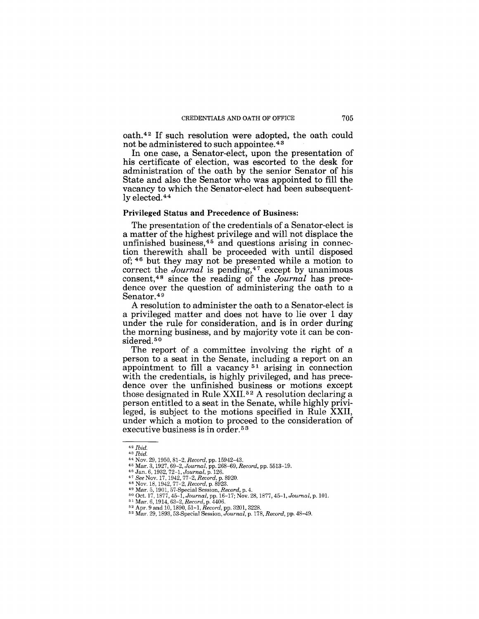oath.42 If such resolution were adopted, the oath could not be administered to such appointee.<sup>43</sup>

In one case, a Senator-elect, upon the presentation of his certificate of election, was escorted to the desk for administration of the oath by the senior Senator of his State and also the Senator who was appointed to fill the vacancy to which the Senator-elect had been subsequently elected.44

#### Privileged Status and Precedence of Business:

The presentation of the credentials of a Senator-elect is a matter of the highest privilege and will not displace the unfinished business,  $45$  and questions arising in connection therewith shall be proceeded with until disposed of; 46 but they may not be presented while a motion to correct the *Journal* is pending,<sup>47</sup> except by unanimous consent,48 since the reading of the *Journal* has precedence over the question of administering the oath to a Senator.<sup>49</sup>

A resolution to administer the oath to a Senator-elect is a privileged matter and does not have to lie over 1 day under the rule for consideration, and is in order during the morning business, and by majority vote it can be considered.<sup>50</sup>

The report of a committee involving the right of a person to a seat in the Senate, including a report on an appointment to fill a vacancy 51 arising in connection with the credentials, is highly privileged, and has precedence over the unfinished business or motions except those designated in Rule XXII. 52 A resolution declaring a person entitled to a seat in the Senate, while highly privileged, is subject to the motions specified in Rule XXII, under which a motion to proceed to the consideration of executive business is in order.<sup>53</sup>

<sup>42</sup> *Ibid.* 

<sup>43</sup> *Ibid.* 

<sup>&</sup>lt;sup>45</sup> Nov. 29, 1990, 81-2, *Hecord*, pp. 19942–43.<br>
45 Mar. 3, 1927, 69-2, *Journal*, pp. 268-69, *Record*, pp. 5513–19.<br>
45 Jan. 6, 1932, 72-1, *Journal*, p. 126.<br>
47 *See* Nov. 17, 1942, 77-2, *Record*, p. 8920.<br>
48 Nov.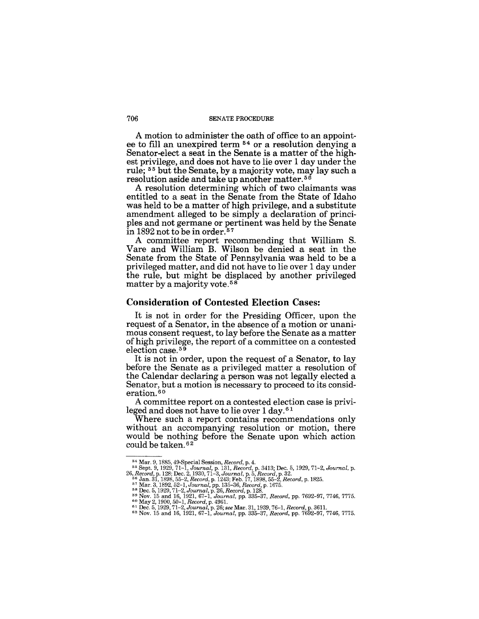A motion to administer the oath of office to an appoint· ee to fill an unexpired term 54 or a resolution denying a Senator-elect a seat in the Senate is a matter of the highest privilege, and does not have to lie over 1 day under the rule; 55 but the Senate, by a majority vote, may lay such a resolution aside and take up another matter. <sup>56</sup>

A resolution determining which of two claimants was entitled to a seat in the Senate from the State of Idaho was held to be a matter of high privilege, and a substitute amendment alleged to be simply a declaration of principles and not germane or pertinent was held by the Senate in 1892 not to be in order. 57

A committee report recommending that William S. Yare and William B. Wilson be denied a seat in the Senate from the State of Pennsylvania was held to be a privileged matter, and did not have to lie over 1 day under the rule, but might be displaced by another privileged matter by a majority vote.<sup>58</sup>

#### Consideration of Contested Election Cases:

It is not in order for the Presiding Officer, upon the request of a Senator, in the absence of a motion or unani· mous consent request, to lay before the Senate as a matter of high privilege, the report of a committee on a contested election case.<sup>59</sup>

It is not in order, upon the request of a Senator, to lay before the Senate as a privileged matter a resolution of the Calendar declaring a person was not legally elected a Senator, but a motion is necessary to proceed to its consid~ eration.<sup>60</sup>

A committee report on a contested election case is privileged and does not have to lie over 1 day. 61

Where such a report contains recommendations only without an accompanying resolution or motion, there would be nothing before the Senate upon which action could be taken. 62

- 
- 

<sup>54</sup> Mar. 9, 1885, 49-Special Session, *Record,* p. 4. 55 Sept. 9, 1929, 71-1, *Journal,* p. 131, *Record,* p. 3413; Dec. 5, 1929,71-2, *Journal,* p.

<sup>26,</sup> Record, p. 128; Dec. 2, 1930, 71-3, Journal, p. 5, Record, p. 32.<br>
<sup>56</sup> Jan. 31, 1898, 55-2, Record, p. 1243; Feb. 17, 1898, 55-2, Record, p. 1825.<br>
<sup>57</sup> Mar. 3, 1892, 52-1, Journal, pp. 135-36, Record, p. 1675.<br>
<sup>57</sup>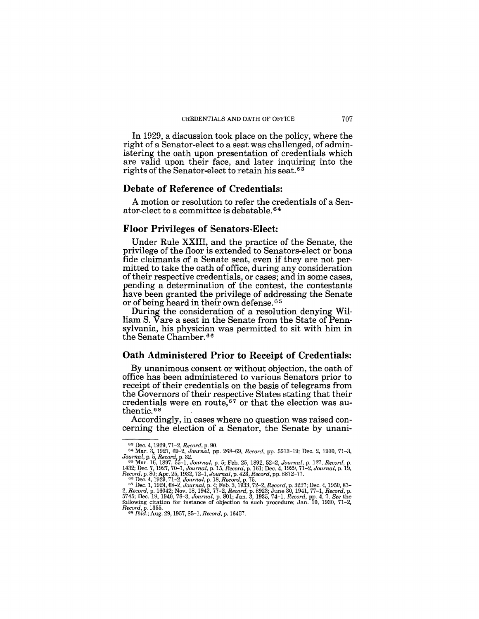In 1929, a discussion took place on the policy, where the right of a Senator-elect to a seat was challenged, of administering the oath upon presentation of credentials which are valid upon their face, and later inquiring into the rights of the Senator-elect to retain his seat.<sup>63</sup>

## **Debate of Reference of Credentials:**

A motion or resolution to refer the credentials of a Senator-elect to a committee is debatable. 64

## **Floor Privileges of Senators-Elect:**

Under Rule XXIII, and the practice of the Senate, the privilege of the floor is extended to Senators-elect or bona fide claimants of a Senate seat, even if they are not permitted to take the oath of office, during any consideration oftheir respective credentials, or cases; and in some cases, pending a determination of the contest, the contestants have been granted the privilege of addressing the Senate or of being heard in their own defense. 65

During the consideration of a resolution denying William S. Yare a seat in the Senate from the State of Pennsylvania, his physician was permitted to sit with him in the Senate Chamber. 66

## **Oath Administered Prior to Receipt of Credentials:**

By unanimous consent or without objection, the oath of office has been administered to various Senators prior to receipt of their credentials on the basis of telegrams from the Governors of their respective States stating that their credentials were en route,67 or that the election was authentic. 68

Accordingly, in cases where no question was raised concerning the election of a Senator, the Senate by unani-

<sup>63</sup>Dec. 4, 1929, 71-2, *Record,* p. 90. 64 Mar. 3, 1927, 69-2, *Journal,* pp. 268-69, *Record,* pp. 5513-19; Dec. 2, 1930,71-3,

Journal, p. 5, Record, p. 32.<br>
<sup>65</sup> Mar. 16, 1897, 55-1, Journal, p. 5; Feb. 25, 1892, 52-2, Journal, p. 127, Record, p.<br>
1432; Dec. 7, 1927, 70-1, Journal, p. 15, Record, p. 161; Dec. 4, 1929, 71-2, Journal, p. 19,<br>
Recor *Record,* p. 1355. 68 *Ibid.;* Aug. 29, 1957, 85-1, *Record,* p.16457.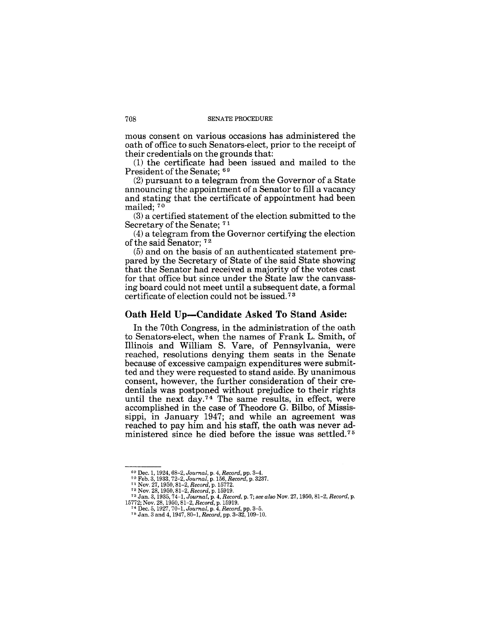mous consent on various occasions has administered the oath of office to such Senators-elect, prior to the receipt of their credentials on the grounds that:

(1) the certificate had been issued and mailed to the President of the Senate; 69

(2) pursuant to a telegram from the Governor of a State announcing the appointment of a Senator to fill a vacancy and stating that the certificate of appointment had been mailed; 70

(3) a certified statement of the election submitted to the Secretary of the Senate; 71

(4) a telegram from the Governor certifying the election of the said Senator; 72

(5) and on the basis of an authenticated statement prepared by the Secretary of State of the said State showing that the Senator had received a majority of the votes cast for that office but since under the State law the canvassing board could not meet until a subsequent date, a formal certificate of election could not be issued. 7 3

## Oath Held Up-Candidate Asked To Stand Aside:

In the 70th Congress, in the administration of the oath to Senators-elect, when the names of Frank L. Smith, of Illinois and William S. Yare, of Pennsylvania, were reached, resolutions denying them seats in the Senate because of excessive campaign expenditures were submitted and they were requested to stand aside. By unanimous consent, however, the further consideration of their credentials was postponed without prejudice to their rights until the next day.74 The same results, in effect, were accomplished in the case of Theodore G. Bilbo, of Mississippi, in January 1947; and while an agreement was reached to pay him and his staff, the oath was never administered since he died before the issue was settled.<sup>75</sup>

<sup>&</sup>lt;sup>69</sup> Dec. 1, 1924, 68–2, Journal, p. 4, Record, pp. 3–4.<br><sup>70</sup> Feb. 3, 1933, 72–2, Journal, p. 156, Record, p. 3237.<br><sup>71</sup> Nov. 27, 1950, 81–2, Record, p. 15772.<br><sup>72</sup> Nov. 28, 1950, 81–2, Record, p. 15919.

<sup>73</sup>Jan. 3, 1935,74-1, *Journal,* p. 4, *Record,* p. 7; *see also* Nov. 27, 1950, 81-2, *Record,* p. 15772; Nov. 28, 1950,81-2, *Record,* p. 15919. 74 Dec. 5, 1927, 70-1, *Journal,* p. 4, *Record,* pp. 3-5. n Jan. 3 and 4, 1947, 80-1, *Record,* pp. 3-32, 109-10.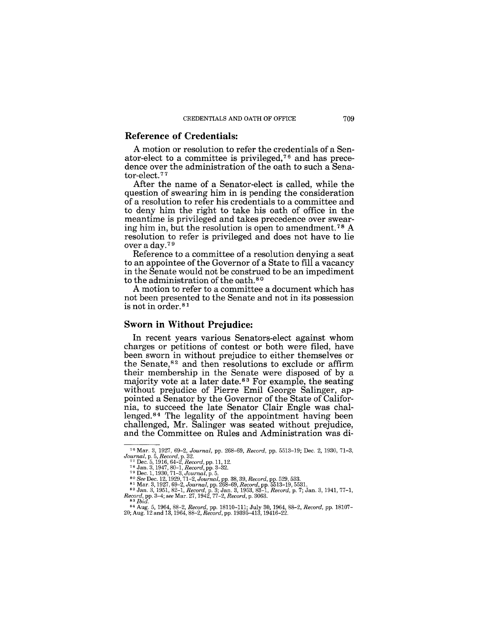#### **Reference of Credentials:**

A motion or resolution to refer the credentials of a Senator-elect to a committee is privileged,<sup> $76$ </sup> and has precedence over the administration of the oath to such a Senator-elect. 77

After the name of a Senator-elect is called, while the question of swearing him in is pending the consideration of a resolution to refer his credentials to a committee and to deny him the right to take his oath of office in the meantime is privileged and takes precedence over swearing him in, but the resolution is open to amendment.78 A resolution to refer is privileged and does not have to lie over a day.7 9

Reference to a committee of a resolution denying a seat to an appointee of the Governor of a State to fill a vacancy in the Senate would not be construed to be an impediment to the administration of the oath.<sup>80</sup>

A motion to refer to a committee a document which has not been presented to the Senate and not in its possession is not in order.<sup>81</sup>

#### **Sworn in Without Prejudice:**

In recent years various Senators-elect against whom charges or petitions of contest or both were filed, have been sworn in without prejudice to either themselves or the Senate,82 and then resolutions to exclude or affirm their membership in the Senate were disposed of by a majority vote at a later date.<sup>83</sup> For example, the seating without prejudice of Pierre Emil George Salinger, appointed a Senator by the Governor of the State of California, to succeed the late Senator Clair Engle was challenged. $84$  The legality of the appointment having been challenged, Mr. Salinger was seated without prejudice, and the Committee on Rules and Administration was di-

<sup>&</sup>lt;sup>76</sup> Mar. 3, 1927, 69–2, Journal, pp. 268–69, Record, pp. 5513–19; Dec. 2, 1930, 71–3,<br>Journal, p. 58 Record, p. 32.<br><sup>77</sup> Dec. 5, 1916, 64–2, Record, pp. 11, 12.<br><sup>78</sup> Jan. 3, 1947, 80–1, Record, pp. 3–32.<br><sup>79</sup> Dec. 1, 193

<sup>84</sup> Aug. 5, 1964,88-2, *Record,* pp. 18110-111; July 30, 1964, 88-2, *Record,* pp. 18107- 20; Aug. 12 and 13, 1964, 88-2, *Record,* pp. 19395-413, 19416-22.